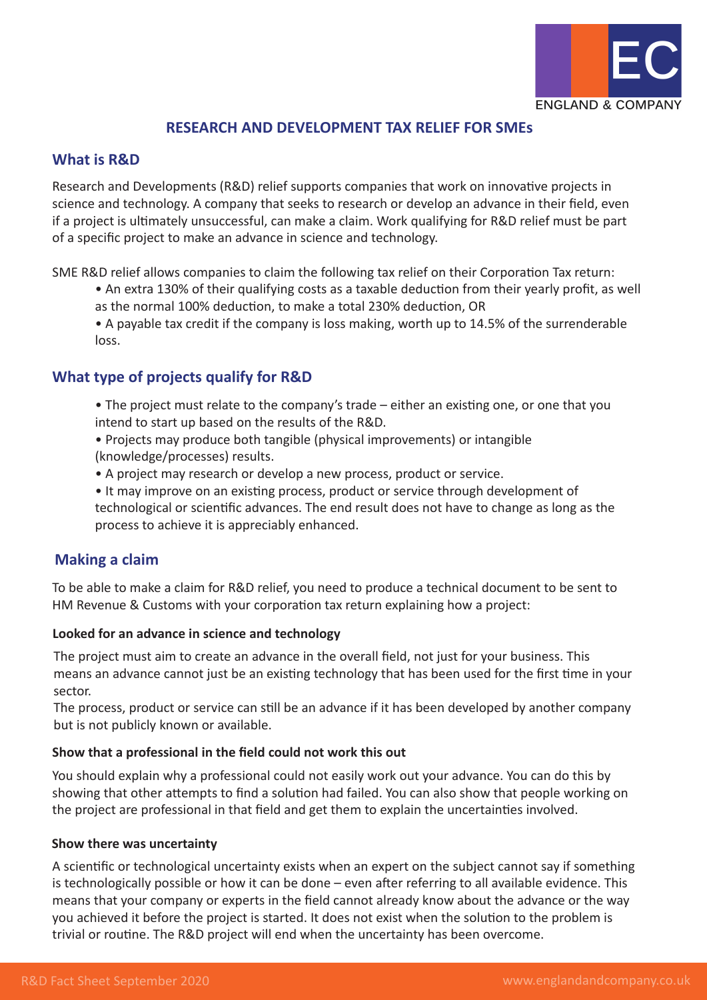

# **RESEARCH AND DEVELOPMENT TAX RELIEF FOR SMEs**

## **What is R&D**

Research and Developments (R&D) relief supports companies that work on innovative projects in science and technology. A company that seeks to research or develop an advance in their field, even if a project is ultimately unsuccessful, can make a claim. Work qualifying for R&D relief must be part of a specific project to make an advance in science and technology.

SME R&D relief allows companies to claim the following tax relief on their Corporation Tax return:

- An extra 130% of their qualifying costs as a taxable deduction from their yearly profit, as well as the normal 100% deduction, to make a total 230% deduction, OR
- A payable tax credit if the company is loss making, worth up to 14.5% of the surrenderable loss.

# **What type of projects qualify for R&D**

- The project must relate to the company's trade either an existing one, or one that you intend to start up based on the results of the R&D.
- Projects may produce both tangible (physical improvements) or intangible (knowledge/processes) results.
- A project may research or develop a new process, product or service.

 • It may improve on an existing process, product or service through development of technological or scientific advances. The end result does not have to change as long as the process to achieve it is appreciably enhanced.

## **Making a claim**

To be able to make a claim for R&D relief, you need to produce a technical document to be sent to HM Revenue & Customs with your corporation tax return explaining how a project:

## **Looked for an advance in science and technology**

The project must aim to create an advance in the overall field, not just for your business. This means an advance cannot just be an existing technology that has been used for the first time in your sector.

The process, product or service can still be an advance if it has been developed by another company but is not publicly known or available.

## **Show that a professional in the field could not work this out**

You should explain why a professional could not easily work out your advance. You can do this by showing that other attempts to find a solution had failed. You can also show that people working on the project are professional in that field and get them to explain the uncertainties involved.

## **Show there was uncertainty**

A scientific or technological uncertainty exists when an expert on the subject cannot say if something is technologically possible or how it can be done – even after referring to all available evidence. This means that your company or experts in the field cannot already know about the advance or the way you achieved it before the project is started. It does not exist when the solution to the problem is trivial or routine. The R&D project will end when the uncertainty has been overcome.